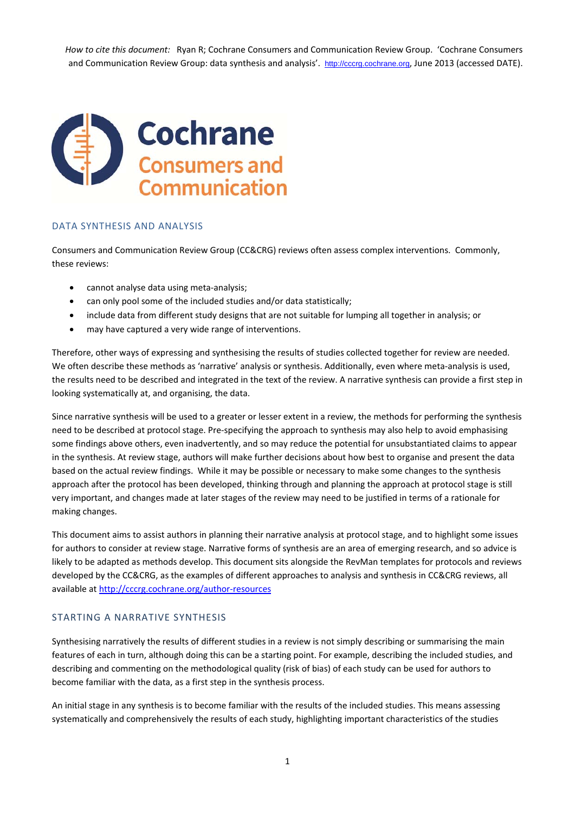*How to cite this document:* Ryan R; Cochrane Consumers and Communication Review Group. 'Cochrane Consumers and Communication Review Group: data synthesis and analysis'. http://cccrg.cochrane.org, June 2013 (accessed DATE).



#### DATA SYNTHESIS AND ANALYSIS

Consumers and Communication Review Group (CC&CRG) reviews often assess complex interventions. Commonly, these reviews:

- cannot analyse data using meta‐analysis;
- can only pool some of the included studies and/or data statistically;
- include data from different study designs that are not suitable for lumping all together in analysis; or
- may have captured a very wide range of interventions.

Therefore, other ways of expressing and synthesising the results of studies collected together for review are needed. We often describe these methods as 'narrative' analysis or synthesis. Additionally, even where meta-analysis is used, the results need to be described and integrated in the text of the review. A narrative synthesis can provide a first step in looking systematically at, and organising, the data.

Since narrative synthesis will be used to a greater or lesser extent in a review, the methods for performing the synthesis need to be described at protocol stage. Pre‐specifying the approach to synthesis may also help to avoid emphasising some findings above others, even inadvertently, and so may reduce the potential for unsubstantiated claims to appear in the synthesis. At review stage, authors will make further decisions about how best to organise and present the data based on the actual review findings. While it may be possible or necessary to make some changes to the synthesis approach after the protocol has been developed, thinking through and planning the approach at protocol stage is still very important, and changes made at later stages of the review may need to be justified in terms of a rationale for making changes.

This document aims to assist authors in planning their narrative analysis at protocol stage, and to highlight some issues for authors to consider at review stage. Narrative forms of synthesis are an area of emerging research, and so advice is likely to be adapted as methods develop. This document sits alongside the RevMan templates for protocols and reviews developed by the CC&CRG, as the examples of different approaches to analysis and synthesis in CC&CRG reviews, all available at http://cccrg.cochrane.org/author‐resources

#### STARTING A NARRATIVE SYNTHESIS

Synthesising narratively the results of different studies in a review is not simply describing or summarising the main features of each in turn, although doing this can be a starting point. For example, describing the included studies, and describing and commenting on the methodological quality (risk of bias) of each study can be used for authors to become familiar with the data, as a first step in the synthesis process.

An initial stage in any synthesis is to become familiar with the results of the included studies. This means assessing systematically and comprehensively the results of each study, highlighting important characteristics of the studies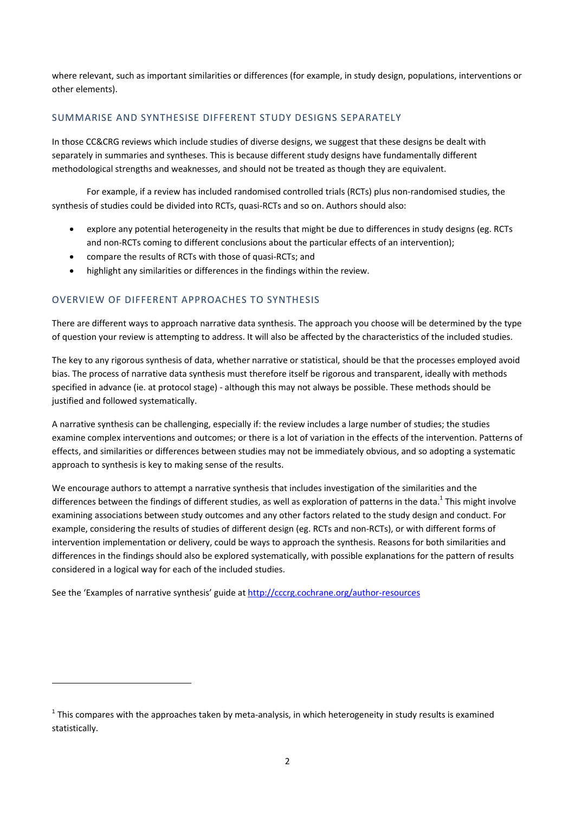where relevant, such as important similarities or differences (for example, in study design, populations, interventions or other elements).

# SUMMARISE AND SYNTHESISE DIFFERENT STUDY DESIGNS SEPARATELY

In those CC&CRG reviews which include studies of diverse designs, we suggest that these designs be dealt with separately in summaries and syntheses. This is because different study designs have fundamentally different methodological strengths and weaknesses, and should not be treated as though they are equivalent.

For example, if a review has included randomised controlled trials (RCTs) plus non-randomised studies, the synthesis of studies could be divided into RCTs, quasi‐RCTs and so on. Authors should also:

- explore any potential heterogeneity in the results that might be due to differences in study designs (eg. RCTs and non-RCTs coming to different conclusions about the particular effects of an intervention);
- compare the results of RCTs with those of quasi‐RCTs; and
- highlight any similarities or differences in the findings within the review.

# OVERVIEW OF DIFFERENT APPROACHES TO SYNTHESIS

There are different ways to approach narrative data synthesis. The approach you choose will be determined by the type of question your review is attempting to address. It will also be affected by the characteristics of the included studies.

The key to any rigorous synthesis of data, whether narrative or statistical, should be that the processes employed avoid bias. The process of narrative data synthesis must therefore itself be rigorous and transparent, ideally with methods specified in advance (ie. at protocol stage) - although this may not always be possible. These methods should be justified and followed systematically.

A narrative synthesis can be challenging, especially if: the review includes a large number of studies; the studies examine complex interventions and outcomes; or there is a lot of variation in the effects of the intervention. Patterns of effects, and similarities or differences between studies may not be immediately obvious, and so adopting a systematic approach to synthesis is key to making sense of the results.

We encourage authors to attempt a narrative synthesis that includes investigation of the similarities and the differences between the findings of different studies, as well as exploration of patterns in the data.<sup>1</sup> This might involve examining associations between study outcomes and any other factors related to the study design and conduct. For example, considering the results of studies of different design (eg. RCTs and non‐RCTs), or with different forms of intervention implementation or delivery, could be ways to approach the synthesis. Reasons for both similarities and differences in the findings should also be explored systematically, with possible explanations for the pattern of results considered in a logical way for each of the included studies.

See the 'Examples of narrative synthesis' guide at http://cccrg.cochrane.org/author‐resources

<u> 1989 - Johann Stein, mars an de Brazilian (b. 1989)</u>

 $1$  This compares with the approaches taken by meta-analysis, in which heterogeneity in study results is examined statistically.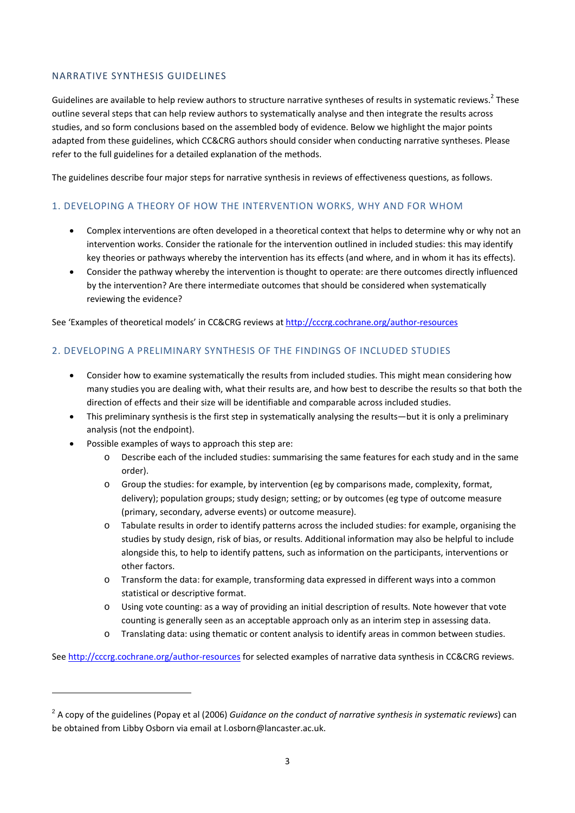## NARRATIVE SYNTHESIS GUIDELINES

Guidelines are available to help review authors to structure narrative syntheses of results in systematic reviews.<sup>2</sup> These outline several steps that can help review authors to systematically analyse and then integrate the results across studies, and so form conclusions based on the assembled body of evidence. Below we highlight the major points adapted from these guidelines, which CC&CRG authors should consider when conducting narrative syntheses. Please refer to the full guidelines for a detailed explanation of the methods.

The guidelines describe four major steps for narrative synthesis in reviews of effectiveness questions, as follows.

# 1. DEVELOPING A THEORY OF HOW THE INTERVENTION WORKS, WHY AND FOR WHOM

- Complex interventions are often developed in a theoretical context that helps to determine why or why not an intervention works. Consider the rationale for the intervention outlined in included studies: this may identify key theories or pathways whereby the intervention has its effects (and where, and in whom it has its effects).
- Consider the pathway whereby the intervention is thought to operate: are there outcomes directly influenced by the intervention? Are there intermediate outcomes that should be considered when systematically reviewing the evidence?

See 'Examples of theoretical models' in CC&CRG reviews at http://cccrg.cochrane.org/author‐resources

# 2. DEVELOPING A PRELIMINARY SYNTHESIS OF THE FINDINGS OF INCLUDED STUDIES

- Consider how to examine systematically the results from included studies. This might mean considering how many studies you are dealing with, what their results are, and how best to describe the results so that both the direction of effects and their size will be identifiable and comparable across included studies.
- This preliminary synthesis is the first step in systematically analysing the results—but it is only a preliminary analysis (not the endpoint).
- Possible examples of ways to approach this step are:

<u> 1989 - Johann Barn, mars ar breithinn ar chuid ann an t-</u>

- o Describe each of the included studies: summarising the same features for each study and in the same order).
- o Group the studies: for example, by intervention (eg by comparisons made, complexity, format, delivery); population groups; study design; setting; or by outcomes (eg type of outcome measure (primary, secondary, adverse events) or outcome measure).
- o Tabulate results in order to identify patterns across the included studies: for example, organising the studies by study design, risk of bias, or results. Additional information may also be helpful to include alongside this, to help to identify pattens, such as information on the participants, interventions or other factors.
- o Transform the data: for example, transforming data expressed in different ways into a common statistical or descriptive format.
- o Using vote counting: as a way of providing an initial description of results. Note however that vote counting is generally seen as an acceptable approach only as an interim step in assessing data.
- o Translating data: using thematic or content analysis to identify areas in common between studies.

See http://cccrg.cochrane.org/author-resources for selected examples of narrative data synthesis in CC&CRG reviews.

<sup>2</sup> A copy of the guidelines (Popay et al (2006) *Guidance on the conduct of narrative synthesis in systematic reviews*) can be obtained from Libby Osborn via email at l.osborn@lancaster.ac.uk.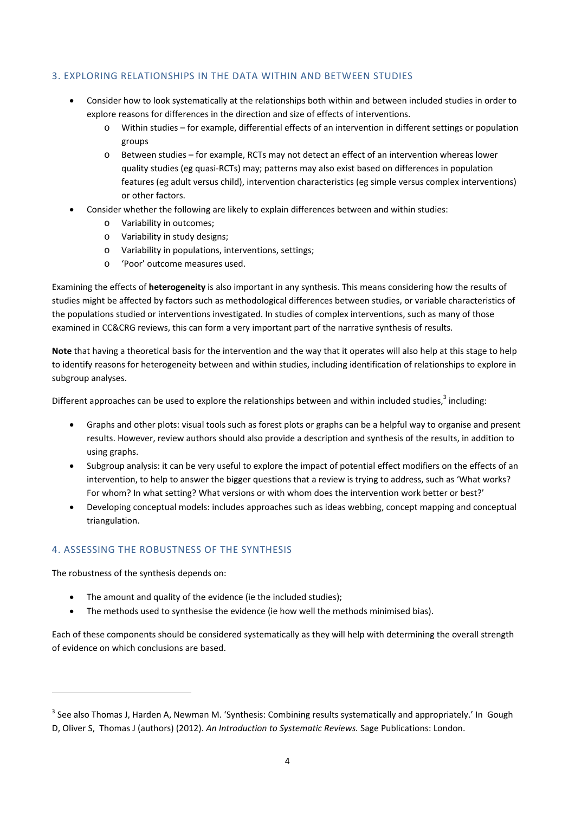## 3. EXPLORING RELATIONSHIPS IN THE DATA WITHIN AND BETWEEN STUDIES

- Consider how to look systematically at the relationships both within and between included studies in order to explore reasons for differences in the direction and size of effects of interventions.
	- o Within studies for example, differential effects of an intervention in different settings or population groups
	- o Between studies for example, RCTs may not detect an effect of an intervention whereas lower quality studies (eg quasi‐RCTs) may; patterns may also exist based on differences in population features (eg adult versus child), intervention characteristics (eg simple versus complex interventions) or other factors.
- Consider whether the following are likely to explain differences between and within studies:
	- o Variability in outcomes;
	- o Variability in study designs;
	- o Variability in populations, interventions, settings;
	- o 'Poor' outcome measures used.

Examining the effects of **heterogeneity** is also important in any synthesis. This means considering how the results of studies might be affected by factors such as methodological differences between studies, or variable characteristics of the populations studied or interventions investigated. In studies of complex interventions, such as many of those examined in CC&CRG reviews, this can form a very important part of the narrative synthesis of results.

**Note** that having a theoretical basis for the intervention and the way that it operates will also help at this stage to help to identify reasons for heterogeneity between and within studies, including identification of relationships to explore in subgroup analyses.

Different approaches can be used to explore the relationships between and within included studies.<sup>3</sup> including:

- Graphs and other plots: visual tools such as forest plots or graphs can be a helpful way to organise and present results. However, review authors should also provide a description and synthesis of the results, in addition to using graphs.
- Subgroup analysis: it can be very useful to explore the impact of potential effect modifiers on the effects of an intervention, to help to answer the bigger questions that a review is trying to address, such as 'What works? For whom? In what setting? What versions or with whom does the intervention work better or best?'
- Developing conceptual models: includes approaches such as ideas webbing, concept mapping and conceptual triangulation.

## 4. ASSESSING THE ROBUSTNESS OF THE SYNTHESIS

The robustness of the synthesis depends on:

<u> 1989 - Johann Barn, mars ar breithinn ar chuid ann an t-</u>

- The amount and quality of the evidence (ie the included studies);
- The methods used to synthesise the evidence (ie how well the methods minimised bias).

Each of these components should be considered systematically as they will help with determining the overall strength of evidence on which conclusions are based.

<sup>&</sup>lt;sup>3</sup> See also Thomas J, Harden A, Newman M. 'Synthesis: Combining results systematically and appropriately.' In Gough D, Oliver S, Thomas J (authors) (2012). *An Introduction to Systematic Reviews.* Sage Publications: London.